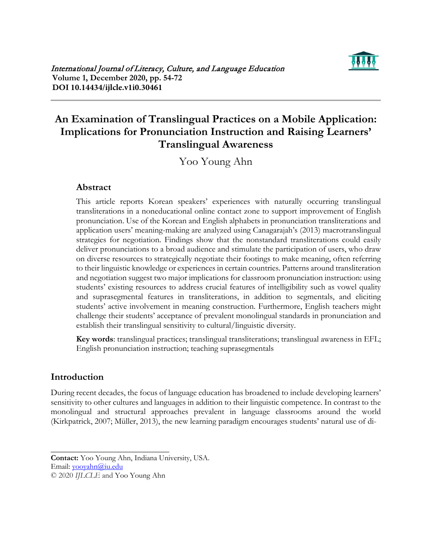

# **An Examination of Translingual Practices on a Mobile Application: Implications for Pronunciation Instruction and Raising Learners' Translingual Awareness**

Yoo Young Ahn

## **Abstract**

This article reports Korean speakers' experiences with naturally occurring translingual transliterations in a noneducational online contact zone to support improvement of English pronunciation. Use of the Korean and English alphabets in pronunciation transliterations and application users' meaning-making are analyzed using Canagarajah's (2013) macrotranslingual strategies for negotiation. Findings show that the nonstandard transliterations could easily deliver pronunciations to a broad audience and stimulate the participation of users, who draw on diverse resources to strategically negotiate their footings to make meaning, often referring to their linguistic knowledge or experiences in certain countries. Patterns around transliteration and negotiation suggest two major implications for classroom pronunciation instruction: using students' existing resources to address crucial features of intelligibility such as vowel quality and suprasegmental features in transliterations, in addition to segmentals, and eliciting students' active involvement in meaning construction. Furthermore, English teachers might challenge their students' acceptance of prevalent monolingual standards in pronunciation and establish their translingual sensitivity to cultural/linguistic diversity.

**Key words**: translingual practices; translingual transliterations; translingual awareness in EFL; English pronunciation instruction; teaching suprasegmentals

# **Introduction**

During recent decades, the focus of language education has broadened to include developing learners' sensitivity to other cultures and languages in addition to their linguistic competence. In contrast to the monolingual and structural approaches prevalent in language classrooms around the world (Kirkpatrick, 2007; Müller, 2013), the new learning paradigm encourages students' natural use of di-

Email: [yooyahn@iu.edu](mailto:yooyahn@iu.edu)

© 2020 *IJLCLE* and Yoo Young Ahn

 $\overline{\phantom{a}}$  , where  $\overline{\phantom{a}}$  , where  $\overline{\phantom{a}}$  , where  $\overline{\phantom{a}}$  , where  $\overline{\phantom{a}}$ 

**Contact:** Yoo Young Ahn, Indiana University, USA.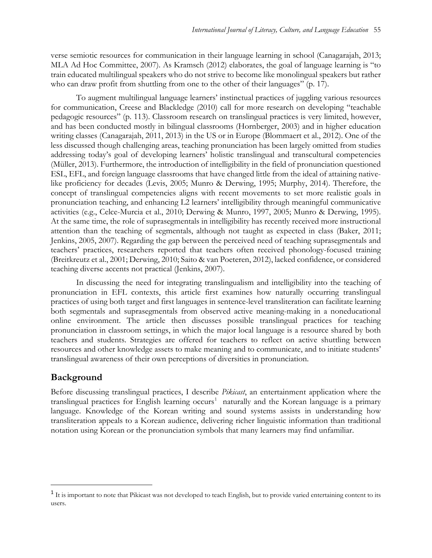verse semiotic resources for communication in their language learning in school (Canagarajah, 2013; MLA Ad Hoc Committee, 2007). As Kramsch (2012) elaborates, the goal of language learning is "to train educated multilingual speakers who do not strive to become like monolingual speakers but rather who can draw profit from shuttling from one to the other of their languages" (p. 17).

To augment multilingual language learners' instinctual practices of juggling various resources for communication, Creese and Blackledge (2010) call for more research on developing "teachable pedagogic resources" (p. 113). Classroom research on translingual practices is very limited, however, and has been conducted mostly in bilingual classrooms (Hornberger, 2003) and in higher education writing classes (Canagarajah, 2011, 2013) in the US or in Europe (Blommaert et al., 2012). One of the less discussed though challenging areas, teaching pronunciation has been largely omitted from studies addressing today's goal of developing learners' holistic translingual and transcultural competencies (Müller, 2013). Furthermore, the introduction of intelligibility in the field of pronunciation questioned ESL, EFL, and foreign language classrooms that have changed little from the ideal of attaining nativelike proficiency for decades (Levis, 2005; Munro & Derwing, 1995; Murphy, 2014). Therefore, the concept of translingual competencies aligns with recent movements to set more realistic goals in pronunciation teaching, and enhancing L2 learners' intelligibility through meaningful communicative activities (e.g., Celce-Murcia et al., 2010; Derwing & Munro, 1997, 2005; Munro & Derwing, 1995). At the same time, the role of suprasegmentals in intelligibility has recently received more instructional attention than the teaching of segmentals, although not taught as expected in class (Baker, 2011; Jenkins, 2005, 2007). Regarding the gap between the perceived need of teaching suprasegmentals and teachers' practices, researchers reported that teachers often received phonology-focused training (Breitkreutz et al., 2001; Derwing, 2010; Saito & van Poeteren, 2012), lacked confidence, or considered teaching diverse accents not practical (Jenkins, 2007).

In discussing the need for integrating translingualism and intelligibility into the teaching of pronunciation in EFL contexts, this article first examines how naturally occurring translingual practices of using both target and first languages in sentence-level transliteration can facilitate learning both segmentals and suprasegmentals from observed active meaning-making in a noneducational online environment. The article then discusses possible translingual practices for teaching pronunciation in classroom settings, in which the major local language is a resource shared by both teachers and students. Strategies are offered for teachers to reflect on active shuttling between resources and other knowledge assets to make meaning and to communicate, and to initiate students' translingual awareness of their own perceptions of diversities in pronunciation.

### **Background**

Before discussing translingual practices, I describe *Pikicast*, an entertainment application where the translingual practices for English learning occurs<sup>[1](#page-1-0)</sup> naturally and the Korean language is a primary language. Knowledge of the Korean writing and sound systems assists in understanding how transliteration appeals to a Korean audience, delivering richer linguistic information than traditional notation using Korean or the pronunciation symbols that many learners may find unfamiliar.

<span id="page-1-0"></span><sup>&</sup>lt;sup>1</sup> It is important to note that Pikicast was not developed to teach English, but to provide varied entertaining content to its users.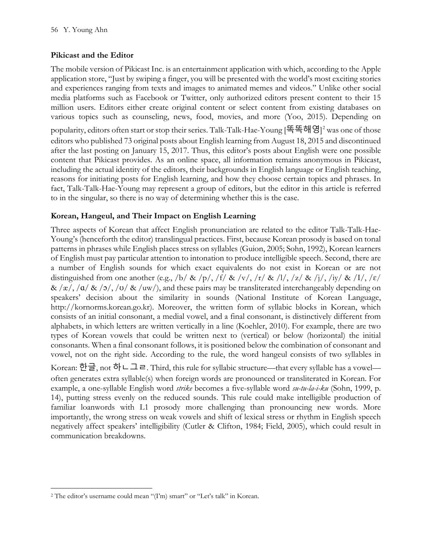### **Pikicast and the Editor**

The mobile version of Pikicast Inc. is an entertainment application with which, according to the Apple application store, "Just by swiping a finger, you will be presented with the world's most exciting stories and experiences ranging from texts and images to animated memes and videos." Unlike other social media platforms such as Facebook or Twitter, only authorized editors present content to their 15 million users. Editors either create original content or select content from existing databases on various topics such as counseling, news, food, movies, and more (Yoo, 2015). Depending on popularity, editors often start or stop their series. Talk-Talk-Hae-Young [똑똑해영] [2](#page-2-0) was one of those editors who published 73 original posts about English learning from August 18, 2015 and discontinued after the last posting on January 15, 2017. Thus, this editor's posts about English were one possible content that Pikicast provides. As an online space, all information remains anonymous in Pikicast, including the actual identity of the editors, their backgrounds in English language or English teaching, reasons for initiating posts for English learning, and how they choose certain topics and phrases. In fact, Talk-Talk-Hae-Young may represent a group of editors, but the editor in this article is referred to in the singular, so there is no way of determining whether this is the case.

### **Korean, Hangeul, and Their Impact on English Learning**

Three aspects of Korean that affect English pronunciation are related to the editor Talk-Talk-Hae-Young's (henceforth the editor) translingual practices. First, because Korean prosody is based on tonal patterns in phrases while English places stress on syllables (Guion, 2005; Sohn, 1992), Korean learners of English must pay particular attention to intonation to produce intelligible speech. Second, there are a number of English sounds for which exact equivalents do not exist in Korean or are not distinguished from one another (e.g., /b/ & /p/, /f/ & /v/, /r/ & /l/, /z/ & /j/, /iy/ & /I/, / $\varepsilon$ /  $\&$  / $\alpha$ , / $\alpha$ / $\&$  / $\alpha$ / $\&$ / $\alpha$ / $\&$ / $\alpha$ / $\alpha$ ), and these pairs may be transliterated interchangeably depending on speakers' decision about the similarity in sounds (National Institute of Korean Language, http://kornorms.korean.go.kr). Moreover, the written form of syllabic blocks in Korean, which consists of an initial consonant, a medial vowel, and a final consonant, is distinctively different from alphabets, in which letters are written vertically in a line (Koehler, 2010). For example, there are two types of Korean vowels that could be written next to (vertical) or below (horizontal) the initial consonants. When a final consonant follows, it is positioned below the combination of consonant and vowel, not on the right side. According to the rule, the word hangeul consists of two syllables in Korean: 한글, not 하ㄴ그ㄹ. Third, this rule for syllabic structure—that every syllable has a vowel often generates extra syllable(s) when foreign words are pronounced or transliterated in Korean. For example, a one-syllable English word *strike* becomes a five-syllable word *su-tu-la-i-ku* (Sohn, 1999, p. 14), putting stress evenly on the reduced sounds. This rule could make intelligible production of

familiar loanwords with L1 prosody more challenging than pronouncing new words. More importantly, the wrong stress on weak vowels and shift of lexical stress or rhythm in English speech negatively affect speakers' intelligibility (Cutler & Clifton, 1984; Field, 2005), which could result in communication breakdowns.

<span id="page-2-0"></span><sup>&</sup>lt;sup>2</sup> The editor's username could mean "(I'm) smart" or "Let's talk" in Korean.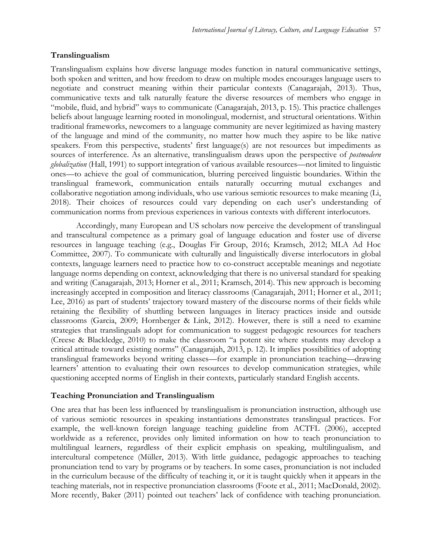### **Translingualism**

Translingualism explains how diverse language modes function in natural communicative settings, both spoken and written, and how freedom to draw on multiple modes encourages language users to negotiate and construct meaning within their particular contexts (Canagarajah, 2013). Thus, communicative texts and talk naturally feature the diverse resources of members who engage in "mobile, fluid, and hybrid" ways to communicate (Canagarajah, 2013, p. 15). This practice challenges beliefs about language learning rooted in monolingual, modernist, and structural orientations. Within traditional frameworks, newcomers to a language community are never legitimized as having mastery of the language and mind of the community, no matter how much they aspire to be like native speakers. From this perspective, students' first language(s) are not resources but impediments as sources of interference. As an alternative, translingualism draws upon the perspective of *postmodern globalization* (Hall, 1991) to support integration of various available resources—not limited to linguistic ones—to achieve the goal of communication, blurring perceived linguistic boundaries. Within the translingual framework, communication entails naturally occurring mutual exchanges and collaborative negotiation among individuals, who use various semiotic resources to make meaning (Li, 2018). Their choices of resources could vary depending on each user's understanding of communication norms from previous experiences in various contexts with different interlocutors.

Accordingly, many European and US scholars now perceive the development of translingual and transcultural competence as a primary goal of language education and foster use of diverse resources in language teaching (e.g., Douglas Fir Group, 2016; Kramsch, 2012; MLA Ad Hoc Committee, 2007). To communicate with culturally and linguistically diverse interlocutors in global contexts, language learners need to practice how to co-construct acceptable meanings and negotiate language norms depending on context, acknowledging that there is no universal standard for speaking and writing (Canagarajah, 2013; Horner et al., 2011; Kramsch, 2014). This new approach is becoming increasingly accepted in composition and literacy classrooms (Canagarajah, 2011; Horner et al., 2011; Lee, 2016) as part of students' trajectory toward mastery of the discourse norms of their fields while retaining the flexibility of shuttling between languages in literacy practices inside and outside classrooms (Garcia, 2009; Hornberger & Link, 2012). However, there is still a need to examine strategies that translinguals adopt for communication to suggest pedagogic resources for teachers (Creese & Blackledge, 2010) to make the classroom "a potent site where students may develop a critical attitude toward existing norms" (Canagarajah, 2013, p. 12). It implies possibilities of adopting translingual frameworks beyond writing classes—for example in pronunciation teaching—drawing learners' attention to evaluating their own resources to develop communication strategies, while questioning accepted norms of English in their contexts, particularly standard English accents.

### **Teaching Pronunciation and Translingualism**

One area that has been less influenced by translingualism is pronunciation instruction, although use of various semiotic resources in speaking instantiations demonstrates translingual practices. For example, the well-known foreign language teaching guideline from ACTFL (2006), accepted worldwide as a reference, provides only limited information on how to teach pronunciation to multilingual learners, regardless of their explicit emphasis on speaking, multilingualism, and intercultural competence (Müller, 2013). With little guidance, pedagogic approaches to teaching pronunciation tend to vary by programs or by teachers. In some cases, pronunciation is not included in the curriculum because of the difficulty of teaching it, or it is taught quickly when it appears in the teaching materials, not in respective pronunciation classrooms (Foote et al., 2011; MacDonald, 2002). More recently, Baker (2011) pointed out teachers' lack of confidence with teaching pronunciation.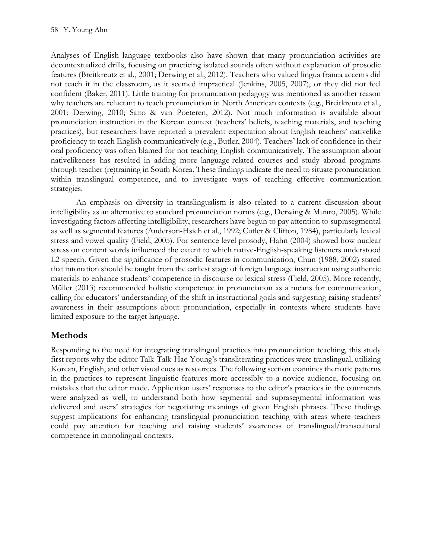Analyses of English language textbooks also have shown that many pronunciation activities are decontextualized drills, focusing on practicing isolated sounds often without explanation of prosodic features (Breitkreutz et al., 2001; Derwing et al., 2012). Teachers who valued lingua franca accents did not teach it in the classroom, as it seemed impractical (Jenkins, 2005, 2007), or they did not feel confident (Baker, 2011). Little training for pronunciation pedagogy was mentioned as another reason why teachers are reluctant to teach pronunciation in North American contexts (e.g., Breitkreutz et al., 2001; Derwing, 2010; Saito & van Poeteren, 2012). Not much information is available about pronunciation instruction in the Korean context (teachers' beliefs, teaching materials, and teaching practices), but researchers have reported a prevalent expectation about English teachers' nativelike proficiency to teach English communicatively (e.g., Butler, 2004). Teachers' lack of confidence in their oral proficiency was often blamed for not teaching English communicatively. The assumption about nativelikeness has resulted in adding more language-related courses and study abroad programs through teacher (re)training in South Korea. These findings indicate the need to situate pronunciation within translingual competence, and to investigate ways of teaching effective communication strategies.

An emphasis on diversity in translingualism is also related to a current discussion about intelligibility as an alternative to standard pronunciation norms (e.g., Derwing & Munro, 2005). While investigating factors affecting intelligibility, researchers have begun to pay attention to suprasegmental as well as segmental features (Anderson-Hsieh et al., 1992; Cutler & Clifton, 1984), particularly lexical stress and vowel quality (Field, 2005). For sentence level prosody, Hahn (2004) showed how nuclear stress on content words influenced the extent to which native-English-speaking listeners understood L2 speech. Given the significance of prosodic features in communication, Chun (1988, 2002) stated that intonation should be taught from the earliest stage of foreign language instruction using authentic materials to enhance students' competence in discourse or lexical stress (Field, 2005). More recently, Müller (2013) recommended holistic competence in pronunciation as a means for communication, calling for educators' understanding of the shift in instructional goals and suggesting raising students' awareness in their assumptions about pronunciation, especially in contexts where students have limited exposure to the target language.

# **Methods**

Responding to the need for integrating translingual practices into pronunciation teaching, this study first reports why the editor Talk-Talk-Hae-Young's transliterating practices were translingual, utilizing Korean, English, and other visual cues as resources. The following section examines thematic patterns in the practices to represent linguistic features more accessibly to a novice audience, focusing on mistakes that the editor made. Application users' responses to the editor's practices in the comments were analyzed as well, to understand both how segmental and suprasegmental information was delivered and users' strategies for negotiating meanings of given English phrases. These findings suggest implications for enhancing translingual pronunciation teaching with areas where teachers could pay attention for teaching and raising students' awareness of translingual/transcultural competence in monolingual contexts.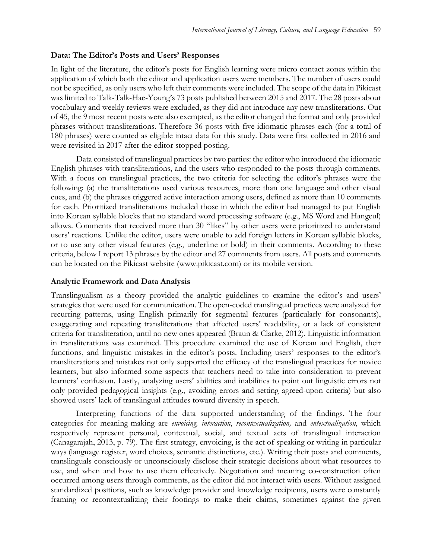### **Data: The Editor's Posts and Users' Responses**

In light of the literature, the editor's posts for English learning were micro contact zones within the application of which both the editor and application users were members. The number of users could not be specified, as only users who left their comments were included. The scope of the data in Pikicast was limited to Talk-Talk-Hae-Young's 73 posts published between 2015 and 2017. The 28 posts about vocabulary and weekly reviews were excluded, as they did not introduce any new transliterations. Out of 45, the 9 most recent posts were also exempted, as the editor changed the format and only provided phrases without transliterations. Therefore 36 posts with five idiomatic phrases each (for a total of 180 phrases) were counted as eligible intact data for this study. Data were first collected in 2016 and were revisited in 2017 after the editor stopped posting.

Data consisted of translingual practices by two parties: the editor who introduced the idiomatic English phrases with transliterations, and the users who responded to the posts through comments. With a focus on translingual practices, the two criteria for selecting the editor's phrases were the following: (a) the transliterations used various resources, more than one language and other visual cues, and (b) the phrases triggered active interaction among users, defined as more than 10 comments for each. Prioritized transliterations included those in which the editor had managed to put English into Korean syllable blocks that no standard word processing software (e.g., MS Word and Hangeul) allows. Comments that received more than 30 "likes" by other users were prioritized to understand users' reactions. Unlike the editor, users were unable to add foreign letters in Korean syllabic blocks, or to use any other visual features (e.g., underline or bold) in their comments. According to these criteria, below I report 13 phrases by the editor and 27 comments from users. All posts and comments can be located on the Pikicast website (www.pikicast.com) or its mobile version.

### **Analytic Framework and Data Analysis**

Translingualism as a theory provided the analytic guidelines to examine the editor's and users' strategies that were used for communication. The open-coded translingual practices were analyzed for recurring patterns, using English primarily for segmental features (particularly for consonants), exaggerating and repeating transliterations that affected users' readability, or a lack of consistent criteria for transliteration, until no new ones appeared (Braun & Clarke, 2012). Linguistic information in transliterations was examined. This procedure examined the use of Korean and English, their functions, and linguistic mistakes in the editor's posts. Including users' responses to the editor's transliterations and mistakes not only supported the efficacy of the translingual practices for novice learners, but also informed some aspects that teachers need to take into consideration to prevent learners' confusion. Lastly, analyzing users' abilities and inabilities to point out linguistic errors not only provided pedagogical insights (e.g., avoiding errors and setting agreed-upon criteria) but also showed users' lack of translingual attitudes toward diversity in speech.

Interpreting functions of the data supported understanding of the findings. The four categories for meaning-making are *envoicing, interaction*, *recontextualization,* and *entextualization*, which respectively represent personal, contextual, social, and textual acts of translingual interaction (Canagarajah, 2013, p. 79). The first strategy, envoicing, is the act of speaking or writing in particular ways (language register, word choices, semantic distinctions, etc.). Writing their posts and comments, translinguals consciously or unconsciously disclose their strategic decisions about what resources to use, and when and how to use them effectively. Negotiation and meaning co-construction often occurred among users through comments, as the editor did not interact with users. Without assigned standardized positions, such as knowledge provider and knowledge recipients, users were constantly framing or recontextualizing their footings to make their claims, sometimes against the given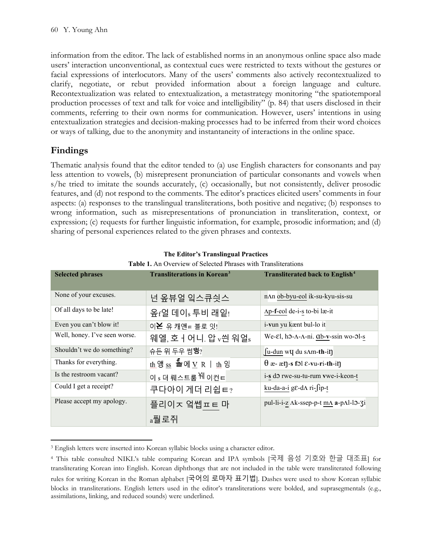information from the editor. The lack of established norms in an anonymous online space also made users' interaction unconventional, as contextual cues were restricted to texts without the gestures or facial expressions of interlocutors. Many of the users' comments also actively recontextualized to clarify, negotiate, or rebut provided information about a foreign language and culture. Recontextualization was related to entextualization, a metastrategy monitoring "the spatiotemporal production processes of text and talk for voice and intelligibility" (p. 84) that users disclosed in their comments, referring to their own norms for communication. However, users' intentions in using entextualization strategies and decision-making processes had to be inferred from their word choices or ways of talking, due to the anonymity and instantaneity of interactions in the online space.

# **Findings**

Thematic analysis found that the editor tended to (a) use English characters for consonants and pay less attention to vowels, (b) misrepresent pronunciation of particular consonants and vowels when s/he tried to imitate the sounds accurately, (c) occasionally, but not consistently, deliver prosodic features, and (d) not respond to the comments. The editor's practices elicited users' comments in four aspects: (a) responses to the translingual transliterations, both positive and negative; (b) responses to wrong information, such as misrepresentations of pronunciation in transliteration, context, or expression; (c) requests for further linguistic information, for example, prosodic information; and (d) sharing of personal experiences related to the given phrases and contexts.

| <b>Selected phrases</b>       | <b>Transliterations in Korean<sup>3</sup></b>                                                | <b>Transliterated back to English<sup>4</sup></b> |
|-------------------------------|----------------------------------------------------------------------------------------------|---------------------------------------------------|
| None of your excuses.         | 넌 옾뷰얼 잌스큐싓스                                                                                  | nAn ob-byu-eol ik-su-kyu-sis-su                   |
| Of all days to be late!       | 옾f얼 데이s 투비 래잍!                                                                               | Ap-f-eol de-i-s to-bi læ-it                       |
| Even you can't blow it!       | 이 폰 유 캐앤 ㅌ 블로 잇!                                                                             | i-vun yu kænt bul-lo it                           |
| Well, honey. I've seen worse. | 웨엘, 호   어니. 압 v씐 워얼s                                                                         | We-εl, ho-Λ-Λ-ni. ab-v-ssin wo-ol-s               |
| Shouldn't we do something?    | 슈든 위 두우 썸행?                                                                                  | $\int u$ -dun w <b>V</b> du sAm-th-in             |
| Thanks for everything.        | $\frac{\text{th } \Im \text{S}}{\text{ss}}$ 들에 $\underline{V}$ R   $\underline{\text{th}}$ 잉 | $\theta$ æ- æŋ-s fɔl ɛ-vu-ri-th-iŋ                |
| Is the restroom vacant?       | 이 s 더 뤠스트룸 <sup>눼</sup> 이컨ㅌ                                                                  | i-s do rwe-su-tu-rum vwe-i-keon-t                 |
| Could I get a receipt?        | 쿠다아이 게더 리쉽ㅌ?                                                                                 | ku-da-a-i ge-d $\Lambda$ ri-fip-t                 |
| Please accept my apology.     | 플리이ㅈ 엌쎕ㅍㅌ 마                                                                                  | pul-li-i-z Ak-ssep-p-t mA a-pAl-lo-3i             |
|                               | a풜로쥐                                                                                         |                                                   |

#### **The Editor's Translingual Practices**

**Table 1.** An Overview of Selected Phrases with Transliterations

<span id="page-6-0"></span><sup>3</sup> English letters were inserted into Korean syllabic blocks using a character editor.

<span id="page-6-1"></span><sup>4</sup> This table consulted NIKL's table comparing Korean and IPA symbols [국제 음성 기호와 한글 대조표] for transliterating Korean into English. Korean diphthongs that are not included in the table were transliterated following rules for writing Korean in the Roman alphabet [국어의 로마자 표기법]. Dashes were used to show Korean syllabic blocks in transliterations. English letters used in the editor's transliterations were bolded, and suprasegmentals (e.g., assimilations, linking, and reduced sounds) were underlined.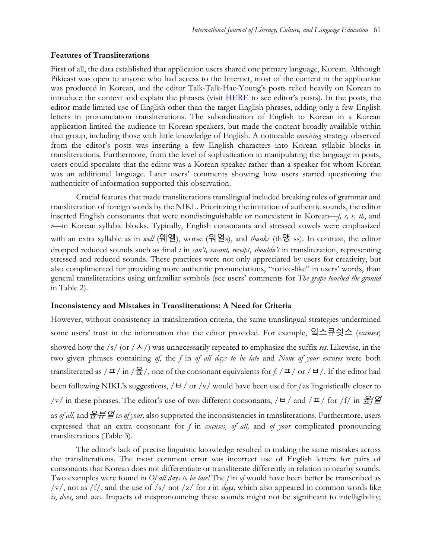#### **Features of Transliterations**

First of all, the data established that application users shared one primary language, Korean. Although Pikicast was open to anyone who had access to the Internet, most of the content in the application was produced in Korean, and the editor Talk-Talk-Hae-Young's posts relied heavily on Korean to introduce the context and explain the phrases (visit [HERE](https://www.pikicast.com/#!/menu=userpage§ion=0&uid=18536529) to see editor's posts). In the posts, the editor made limited use of English other than the target English phrases, adding only a few English letters in pronunciation transliterations. The subordination of English to Korean in a Korean application limited the audience to Korean speakers, but made the content broadly available within that group, including those with little knowledge of English. A noticeable *envoicing* strategy observed from the editor's posts was inserting a few English characters into Korean syllabic blocks in transliterations. Furthermore, from the level of sophistication in manipulating the language in posts, users could speculate that the editor was a Korean speaker rather than a speaker for whom Korean was an additional language. Later users' comments showing how users started questioning the authenticity of information supported this observation.

Crucial features that made transliterations translingual included breaking rules of grammar and transliteration of foreign words by the NIKL. Prioritizing the imitation of authentic sounds, the editor inserted English consonants that were nondistinguishable or nonexistent in Korean—*f, s, v, th*, and *r*—in Korean syllabic blocks. Typically, English consonants and stressed vowels were emphasized with an extra syllable as in *well* (웨엘), worse (워얼s), and *thanks* (th앵 ss). In contrast, the editor dropped reduced sounds such as final *t* in *can't, vacant, receipt*, *shouldn't* in transliteration, representing stressed and reduced sounds. These practices were not only appreciated by users for creativity, but also complimented for providing more authentic pronunciations, "native-like" in users' words, than general transliterations using unfamiliar symbols (see users' comments for *The grape touched the ground* in Table 2).

#### **Inconsistency and Mistakes in Transliterations: A Need for Criteria**

However, without consistency in transliteration criteria, the same translingual strategies undermined some users' trust in the information that the editor provided. For example, 잌스큐싓스 (*excuses*) showed how the /s/ (or  $/\sim$  /) was unnecessarily repeated to emphasize the suffix *ses*. Likewise, in the two given phrases containing *of*, the *f* in *of all days to be late* and *None of your excuses* were both transliterated as  $/\pi / \ln \frac{Q}{2}$ , one of the consonant equivalents for *f*:  $/\pi / \text{or } / \text{H}$ . If the editor had been following NIKL's suggestions,  $/ \frac{d}{dx}$  or  $/\frac{v}{dx}$  would have been used for f as linguistically closer to /v/ in these phrases. The editor's use of two different consonants,  $/ \frac{d}{dx}$  and  $/\frac{\pi}{\text{ for }}$  for /f/ in  $\frac{2f}{dx}$ as *of all,* and옾뷰얼 as *of your,* also supported the inconsistencies in transliterations. Furthermore, users expressed that an extra consonant for *f* in *excuses, of all,* and *of your* complicated pronouncing transliterations (Table 3).

The editor's lack of precise linguistic knowledge resulted in making the same mistakes across the transliterations. The most common error was incorrect use of English letters for pairs of consonants that Korean does not differentiate or transliterate differently in relation to nearby sounds. Two examples were found in *Of all days to be late!* The *f* in *of* would have been better be transcribed as /v/, not as /f/, and the use of /s/ not /z/ for *s* in *days,* which also appeared in common words like *is*, *does*, and *was*. Impacts of mispronouncing these sounds might not be significant to intelligibility;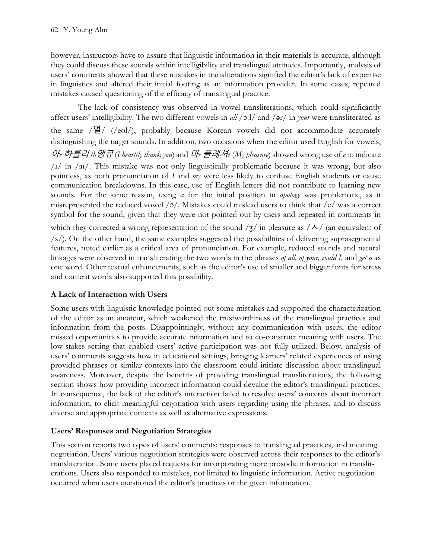however, instructors have to assure that linguistic information in their materials is accurate, although they could discuss these sounds within intelligibility and translingual attitudes. Importantly, analysis of users' comments showed that these mistakes in transliterations signified the editor's lack of expertise in linguistics and altered their initial footing as an information provider. In some cases, repeated mistakes caused questioning of the efficacy of translingual practice.

The lack of consistency was observed in vowel transliterations, which could significantly affect users' intelligibility. The two different vowels in *all* /ɔːl/ and /ər/ in *your* were transliterated as the same  $/\mathbf{S}/$  (/eol/), probably because Korean vowels did not accommodate accurately distinguishing the target sounds. In addition, two occasions when the editor used English for vowels, 아*e* 하를리 *th*앵큐 (*I heartily thank you*) and 마*e* 플레셔*r* (*My pleasure*) showed wrong use of *e* to indicate /ɪ/ in /aɪ/. This mistake was not only linguistically problematic because it was wrong, but also pointless, as both pronunciation of *I* and *my* were less likely to confuse English students or cause communication breakdowns. In this case, use of English letters did not contribute to learning new sounds. For the same reason, using *a* for the initial position in *apology* was problematic, as it misrepresented the reduced vowel  $\sqrt{9}$ . Mistakes could mislead users to think that  $\sqrt{e}$  was a correct symbol for the sound, given that they were not pointed out by users and repeated in comments in which they corrected a wrong representation of the sound  $\frac{1}{3}$  in pleasure as  $\frac{\lambda}{\lambda}$  (an equivalent of  $\sqrt{s}/$ ). On the other hand, the same examples suggested the possibilities of delivering suprasegmental features, noted earlier as a critical area of pronunciation. For example, reduced sounds and natural linkages were observed in transliterating the two words in the phrases *of all, of your, could I,* and *get a* as one word. Other textual enhancements, such as the editor's use of smaller and bigger fonts for stress and content words also supported this possibility.

# **A Lack of Interaction with Users**

Some users with linguistic knowledge pointed out some mistakes and supported the characterization of the editor as an amateur, which weakened the trustworthiness of the translingual practices and information from the posts. Disappointingly, without any communication with users, the editor missed opportunities to provide accurate information and to co-construct meaning with users. The low-stakes setting that enabled users' active participation was not fully utilized. Below, analysis of users' comments suggests how in educational settings, bringing learners' related experiences of using provided phrases or similar contexts into the classroom could initiate discussion about translingual awareness. Moreover, despite the benefits of providing translingual transliterations, the following section shows how providing incorrect information could devalue the editor's translingual practices. In consequence, the lack of the editor's interaction failed to resolve users' concerns about incorrect information, to elicit meaningful negotiation with users regarding using the phrases, and to discuss diverse and appropriate contexts as well as alternative expressions.

### **Users' Responses and Negotiation Strategies**

This section reports two types of users' comments: responses to translingual practices, and meaning negotiation. Users' various negotiation strategies were observed across their responses to the editor's transliteration. Some users placed requests for incorporating more prosodic information in transliterations. Users also responded to mistakes, not limited to linguistic information. Active negotiation occurred when users questioned the editor's practices or the given information.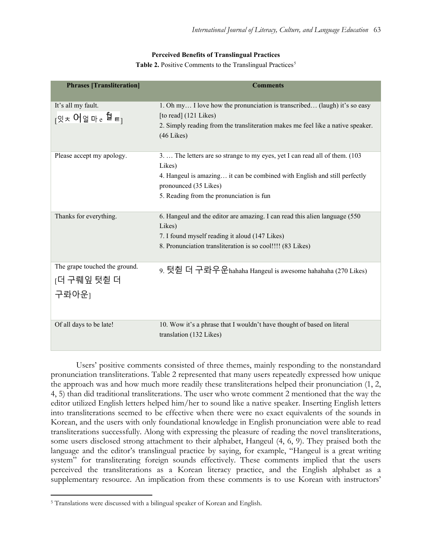#### **Perceived Benefits of Translingual Practices**

Table 2. Positive Comments to the Translingual Practices<sup>[5](#page-9-0)</sup>

| <b>Phrases [Transliteration]</b>                            | <b>Comments</b>                                                                                                                                                                                                                          |
|-------------------------------------------------------------|------------------------------------------------------------------------------------------------------------------------------------------------------------------------------------------------------------------------------------------|
| It's all my fault.<br>┌ <sub>잇ᄎ</sub> 어얼마 e <sup>趋</sup> ㅌ┐ | 1. Oh my I love how the pronunciation is transcribed (laugh) it's so easy<br>[to read] (121 Likes)<br>2. Simply reading from the transliteration makes me feel like a native speaker.<br>$(46$ Likes $)$                                 |
| Please accept my apology.                                   | 3.  The letters are so strange to my eyes, yet I can read all of them. (103)<br>Likes)<br>4. Hangeul is amazing it can be combined with English and still perfectly<br>pronounced (35 Likes)<br>5. Reading from the pronunciation is fun |
| Thanks for everything.                                      | 6. Hangeul and the editor are amazing. I can read this alien language (550)<br>Likes)<br>7. I found myself reading it aloud (147 Likes)<br>8. Pronunciation transliteration is so cool!!!! (83 Likes)                                    |
| The grape touched the ground.<br>[더 구뤠잎 텃췯 더<br>구롸아운1       | 9. 텃췯 더 구롸우운hahaha Hangeul is awesome hahahaha (270 Likes)                                                                                                                                                                               |
| Of all days to be late!                                     | 10. Wow it's a phrase that I wouldn't have thought of based on literal<br>translation (132 Likes)                                                                                                                                        |

Users' positive comments consisted of three themes, mainly responding to the nonstandard pronunciation transliterations. Table 2 represented that many users repeatedly expressed how unique the approach was and how much more readily these transliterations helped their pronunciation (1, 2, 4, 5) than did traditional transliterations. The user who wrote comment 2 mentioned that the way the editor utilized English letters helped him/her to sound like a native speaker. Inserting English letters into transliterations seemed to be effective when there were no exact equivalents of the sounds in Korean, and the users with only foundational knowledge in English pronunciation were able to read transliterations successfully. Along with expressing the pleasure of reading the novel transliterations, some users disclosed strong attachment to their alphabet, Hangeul (4, 6, 9). They praised both the language and the editor's translingual practice by saying, for example, "Hangeul is a great writing system" for transliterating foreign sounds effectively. These comments implied that the users perceived the transliterations as a Korean literacy practice, and the English alphabet as a supplementary resource. An implication from these comments is to use Korean with instructors'

<span id="page-9-0"></span><sup>5</sup> Translations were discussed with a bilingual speaker of Korean and English.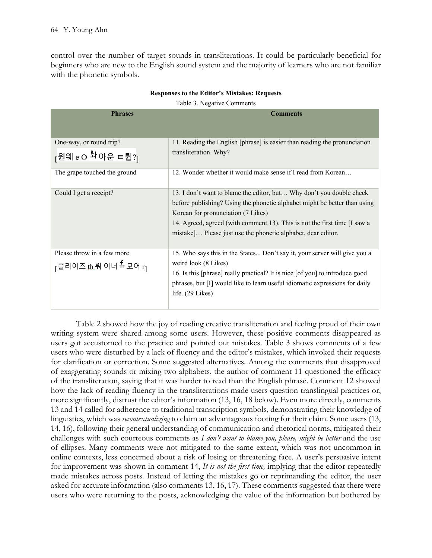control over the number of target sounds in transliterations. It could be particularly beneficial for beginners who are new to the English sound system and the majority of learners who are not familiar with the phonetic symbols.

| <b>Phrases</b>                                                   | <b>Comments</b>                                                              |
|------------------------------------------------------------------|------------------------------------------------------------------------------|
| One-way, or round trip?                                          | 11. Reading the English [phrase] is easier than reading the pronunciation    |
| $\frac{1}{2}$ 원웨 e O $\frac{R_1}{4}$ 아운 ㅌ륍?                      | transliteration. Why?                                                        |
| The grape touched the ground                                     | 12. Wonder whether it would make sense if I read from Korean                 |
| Could I get a receipt?                                           | 13. I don't want to blame the editor, but Why don't you double check         |
|                                                                  | before publishing? Using the phonetic alphabet might be better than using    |
|                                                                  | Korean for pronunciation (7 Likes)                                           |
|                                                                  | 14. Agreed, agreed (with comment 13). This is not the first time [I saw a    |
|                                                                  | mistake] Please just use the phonetic alphabet, dear editor.                 |
|                                                                  |                                                                              |
| Please throw in a few more                                       | 15. Who says this in the States Don't say it, your server will give you a    |
| <sub>[</sub> 플리이즈 <u>th.</u> 뤄 이너 <sup>튜</sup> 모어 r <sub>]</sub> | weird look (8 Likes)                                                         |
|                                                                  | 16. Is this [phrase] really practical? It is nice [of you] to introduce good |
|                                                                  | phrases, but [I] would like to learn useful idiomatic expressions for daily  |
|                                                                  | life. $(29$ Likes)                                                           |
|                                                                  |                                                                              |

### **Responses to the Editor's Mistakes: Requests**

Table 3. Negative Comments

Table 2 showed how the joy of reading creative transliteration and feeling proud of their own writing system were shared among some users. However, these positive comments disappeared as users got accustomed to the practice and pointed out mistakes. Table 3 shows comments of a few users who were disturbed by a lack of fluency and the editor's mistakes, which invoked their requests for clarification or correction. Some suggested alternatives. Among the comments that disapproved of exaggerating sounds or mixing two alphabets, the author of comment 11 questioned the efficacy of the transliteration, saying that it was harder to read than the English phrase. Comment 12 showed how the lack of reading fluency in the transliterations made users question translingual practices or, more significantly, distrust the editor's information (13, 16, 18 below). Even more directly, comments 13 and 14 called for adherence to traditional transcription symbols, demonstrating their knowledge of linguistics, which was *recontextualizing* to claim an advantageous footing for their claim. Some users (13, 14, 16), following their general understanding of communication and rhetorical norms, mitigated their challenges with such courteous comments as *I don't want to blame you, please, might be better* and the use of ellipses. Many comments were not mitigated to the same extent, which was not uncommon in online contexts, less concerned about a risk of losing or threatening face. A user's persuasive intent for improvement was shown in comment 14, *It is not the first time,* implying that the editor repeatedly made mistakes across posts. Instead of letting the mistakes go or reprimanding the editor, the user asked for accurate information (also comments 13, 16, 17). These comments suggested that there were users who were returning to the posts, acknowledging the value of the information but bothered by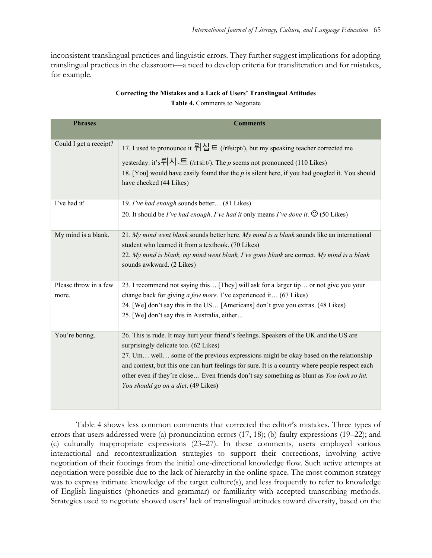inconsistent translingual practices and linguistic errors. They further suggest implications for adopting translingual practices in the classroom—a need to develop criteria for transliteration and for mistakes, for example.

| <b>Phrases</b>                 | <b>Comments</b>                                                                                                                                                                                                                                                                                                                                                                                                                                                 |
|--------------------------------|-----------------------------------------------------------------------------------------------------------------------------------------------------------------------------------------------------------------------------------------------------------------------------------------------------------------------------------------------------------------------------------------------------------------------------------------------------------------|
|                                |                                                                                                                                                                                                                                                                                                                                                                                                                                                                 |
| Could I get a receipt?         | 17. I used to pronounce it 뤼십 $\in$ (/rI si:pt/), but my speaking teacher corrected me<br>yesterday: it's= $ \lambda $ = $(r1\text{si:t})$ . The p seems not pronounced (110 Likes)<br>18. [You] would have easily found that the $p$ is silent here, if you had googled it. You should<br>have checked (44 Likes)                                                                                                                                              |
| I've had it!                   | 19. I've had enough sounds better (81 Likes)<br>20. It should be I've had enough. I've had it only means I've done it. $\odot$ (50 Likes)                                                                                                                                                                                                                                                                                                                       |
| My mind is a blank.            | 21. My mind went blank sounds better here. My mind is a blank sounds like an international<br>student who learned it from a textbook. (70 Likes)<br>22. My mind is blank, my mind went blank, I've gone blank are correct. My mind is a blank<br>sounds awkward. (2 Likes)                                                                                                                                                                                      |
| Please throw in a few<br>more. | 23. I recommend not saying this [They] will ask for a larger tip or not give you your<br>change back for giving <i>a few more</i> . I've experienced it (67 Likes)<br>24. [We] don't say this in the US [Americans] don't give you extras. (48 Likes)<br>25. [We] don't say this in Australia, either                                                                                                                                                           |
| You're boring.                 | 26. This is rude. It may hurt your friend's feelings. Speakers of the UK and the US are<br>surprisingly delicate too. (62 Likes)<br>27. Um well some of the previous expressions might be okay based on the relationship<br>and context, but this one can hurt feelings for sure. It is a country where people respect each<br>other even if they're close Even friends don't say something as blunt as You look so fat.<br>You should go on a diet. (49 Likes) |

# **Correcting the Mistakes and a Lack of Users' Translingual Attitudes**

**Table 4.** Comments to Negotiate

Table 4 shows less common comments that corrected the editor's mistakes. Three types of errors that users addressed were (a) pronunciation errors (17, 18); (b) faulty expressions (19–22); and (c) culturally inappropriate expressions (23–27). In these comments, users employed various interactional and recontextualization strategies to support their corrections, involving active negotiation of their footings from the initial one-directional knowledge flow. Such active attempts at negotiation were possible due to the lack of hierarchy in the online space. The most common strategy was to express intimate knowledge of the target culture(s), and less frequently to refer to knowledge of English linguistics (phonetics and grammar) or familiarity with accepted transcribing methods. Strategies used to negotiate showed users' lack of translingual attitudes toward diversity, based on the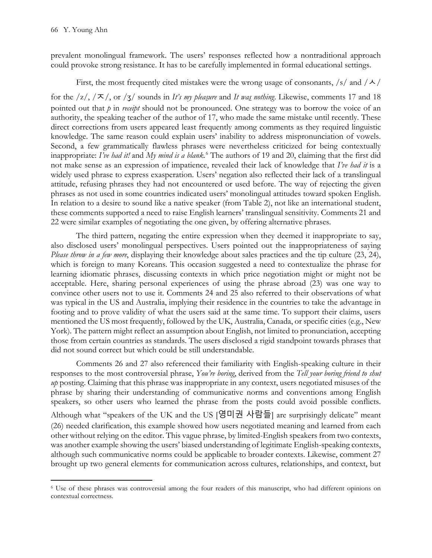prevalent monolingual framework. The users' responses reflected how a nontraditional approach could provoke strong resistance. It has to be carefully implemented in formal educational settings.

### First, the most frequently cited mistakes were the wrong usage of consonants,  $\frac{s}{s}$  and  $\frac{\lambda}{\lambda}$

for the  $\sqrt{z}/\sqrt{x}$ , or  $\sqrt{z}/\sqrt{z}$  sounds in *It's my pleasure* and *It was nothing*. Likewise, comments 17 and 18 pointed out that *p* in *receipt* should not be pronounced. One strategy was to borrow the voice of an authority, the speaking teacher of the author of 17, who made the same mistake until recently. These direct corrections from users appeared least frequently among comments as they required linguistic knowledge. The same reason could explain users' inability to address mispronunciation of vowels. Second, a few grammatically flawless phrases were nevertheless criticized for being contextually inappropriate: *I've had it!* and *My mind is a blank.* [6](#page-12-0) The authors of 19 and 20, claiming that the first did not make sense as an expression of impatience, revealed their lack of knowledge that *I've had it* is a widely used phrase to express exasperation. Users' negation also reflected their lack of a translingual attitude, refusing phrases they had not encountered or used before. The way of rejecting the given phrases as not used in some countries indicated users' monolingual attitudes toward spoken English. In relation to a desire to sound like a native speaker (from Table 2), not like an international student, these comments supported a need to raise English learners' translingual sensitivity. Comments 21 and 22 were similar examples of negotiating the one given, by offering alternative phrases.

The third pattern, negating the entire expression when they deemed it inappropriate to say, also disclosed users' monolingual perspectives. Users pointed out the inappropriateness of saying *Please throw in a few more*, displaying their knowledge about sales practices and the tip culture (23, 24), which is foreign to many Koreans. This occasion suggested a need to contextualize the phrase for learning idiomatic phrases, discussing contexts in which price negotiation might or might not be acceptable. Here, sharing personal experiences of using the phrase abroad (23) was one way to convince other users not to use it. Comments 24 and 25 also referred to their observations of what was typical in the US and Australia, implying their residence in the countries to take the advantage in footing and to prove validity of what the users said at the same time. To support their claims, users mentioned the US most frequently, followed by the UK, Australia, Canada, or specific cities (e.g., New York). The pattern might reflect an assumption about English, not limited to pronunciation, accepting those from certain countries as standards. The users disclosed a rigid standpoint towards phrases that did not sound correct but which could be still understandable.

Comments 26 and 27 also referenced their familiarity with English-speaking culture in their responses to the most controversial phrase, *You're boring*, derived from the *Tell your boring friend to shut up* posting. Claiming that this phrase was inappropriate in any context, users negotiated misuses of the phrase by sharing their understanding of communicative norms and conventions among English speakers, so other users who learned the phrase from the posts could avoid possible conflicts. Although what "speakers of the UK and the US [영미권 사람들] are surprisingly delicate" meant (26) needed clarification, this example showed how users negotiated meaning and learned from each other without relying on the editor. This vague phrase, by limited-English speakers from two contexts, was another example showing the users' biased understanding of legitimate English-speaking contexts, although such communicative norms could be applicable to broader contexts. Likewise, comment 27 brought up two general elements for communication across cultures, relationships, and context, but

<span id="page-12-0"></span><sup>6</sup> Use of these phrases was controversial among the four readers of this manuscript, who had different opinions on contextual correctness.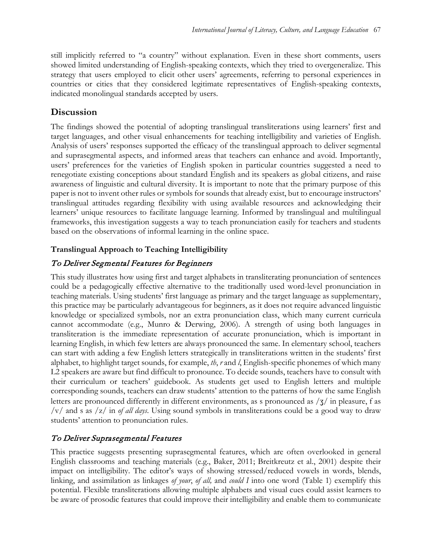still implicitly referred to "a country" without explanation. Even in these short comments, users showed limited understanding of English-speaking contexts, which they tried to overgeneralize. This strategy that users employed to elicit other users' agreements, referring to personal experiences in countries or cities that they considered legitimate representatives of English-speaking contexts, indicated monolingual standards accepted by users.

# **Discussion**

The findings showed the potential of adopting translingual transliterations using learners' first and target languages, and other visual enhancements for teaching intelligibility and varieties of English. Analysis of users' responses supported the efficacy of the translingual approach to deliver segmental and suprasegmental aspects, and informed areas that teachers can enhance and avoid. Importantly, users' preferences for the varieties of English spoken in particular countries suggested a need to renegotiate existing conceptions about standard English and its speakers as global citizens, and raise awareness of linguistic and cultural diversity. It is important to note that the primary purpose of this paper is not to invent other rules or symbols for sounds that already exist, but to encourage instructors' translingual attitudes regarding flexibility with using available resources and acknowledging their learners' unique resources to facilitate language learning. Informed by translingual and multilingual frameworks, this investigation suggests a way to teach pronunciation easily for teachers and students based on the observations of informal learning in the online space.

### **Translingual Approach to Teaching Intelligibility**

## To Deliver Segmental Features for Beginners

This study illustrates how using first and target alphabets in transliterating pronunciation of sentences could be a pedagogically effective alternative to the traditionally used word-level pronunciation in teaching materials. Using students' first language as primary and the target language as supplementary, this practice may be particularly advantageous for beginners, as it does not require advanced linguistic knowledge or specialized symbols, nor an extra pronunciation class, which many current curricula cannot accommodate (e.g., Munro & Derwing, 2006). A strength of using both languages in transliteration is the immediate representation of accurate pronunciation, which is important in learning English, in which few letters are always pronounced the same. In elementary school, teachers can start with adding a few English letters strategically in transliterations written in the students' first alphabet, to highlight target sounds, for example, *th*, *r* and *l*, English-specific phonemes of which many L2 speakers are aware but find difficult to pronounce. To decide sounds, teachers have to consult with their curriculum or teachers' guidebook. As students get used to English letters and multiple corresponding sounds, teachers can draw students' attention to the patterns of how the same English letters are pronounced differently in different environments, as s pronounced as /ʒ/ in pleasure, f as /v/ and s as /z/ in *of all days*. Using sound symbols in transliterations could be a good way to draw students' attention to pronunciation rules.

# To Deliver Suprasegmental Features

This practice suggests presenting suprasegmental features, which are often overlooked in general English classrooms and teaching materials (e.g., Baker, 2011; Breitkreutz et al., 2001) despite their impact on intelligibility. The editor's ways of showing stressed/reduced vowels in words, blends, linking, and assimilation as linkages *of your*, *of all,* and *could I* into one word (Table 1) exemplify this potential. Flexible transliterations allowing multiple alphabets and visual cues could assist learners to be aware of prosodic features that could improve their intelligibility and enable them to communicate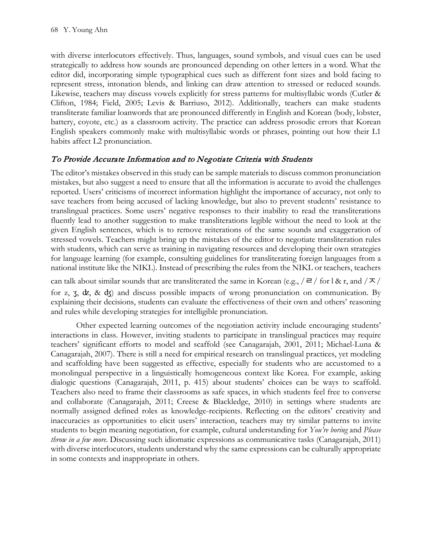with diverse interlocutors effectively. Thus, languages, sound symbols, and visual cues can be used strategically to address how sounds are pronounced depending on other letters in a word. What the editor did, incorporating simple typographical cues such as different font sizes and bold facing to represent stress, intonation blends, and linking can draw attention to stressed or reduced sounds. Likewise, teachers may discuss vowels explicitly for stress patterns for multisyllabic words (Cutler & Clifton, 1984; Field, 2005; Levis & Barriuso, 2012). Additionally, teachers can make students transliterate familiar loanwords that are pronounced differently in English and Korean (body, lobster, battery, coyote, etc.) as a classroom activity. The practice can address prosodic errors that Korean English speakers commonly make with multisyllabic words or phrases, pointing out how their L1 habits affect L2 pronunciation.

### To Provide Accurate Information and to Negotiate Criteria with Students

The editor's mistakes observed in this study can be sample materials to discuss common pronunciation mistakes, but also suggest a need to ensure that all the information is accurate to avoid the challenges reported. Users' criticisms of incorrect information highlight the importance of accuracy, not only to save teachers from being accused of lacking knowledge, but also to prevent students' resistance to translingual practices. Some users' negative responses to their inability to read the transliterations fluently lead to another suggestion to make transliterations legible without the need to look at the given English sentences, which is to remove reiterations of the same sounds and exaggeration of stressed vowels. Teachers might bring up the mistakes of the editor to negotiate transliteration rules with students, which can serve as training in navigating resources and developing their own strategies for language learning (for example, consulting guidelines for transliterating foreign languages from a national institute like the NIKL). Instead of prescribing the rules from the NIKL or teachers, teachers

can talk about similar sounds that are transliterated the same in Korean (e.g.,  $/\equiv$  / for l & r, and  $/\sim$  / for z,  $\zeta$ ,  $\zeta$ ,  $\zeta$ ,  $\zeta$  d $\zeta$ ) and discuss possible impacts of wrong pronunciation on communication. By explaining their decisions, students can evaluate the effectiveness of their own and others' reasoning and rules while developing strategies for intelligible pronunciation.

Other expected learning outcomes of the negotiation activity include encouraging students' interactions in class. However, inviting students to participate in translingual practices may require teachers' significant efforts to model and scaffold (see Canagarajah, 2001, 2011; Michael-Luna & Canagarajah, 2007). There is still a need for empirical research on translingual practices, yet modeling and scaffolding have been suggested as effective, especially for students who are accustomed to a monolingual perspective in a linguistically homogeneous context like Korea. For example, asking dialogic questions (Canagarajah, 2011, p. 415) about students' choices can be ways to scaffold. Teachers also need to frame their classrooms as safe spaces, in which students feel free to converse and collaborate (Canagarajah, 2011; Creese & Blackledge, 2010) in settings where students are normally assigned defined roles as knowledge-recipients. Reflecting on the editors' creativity and inaccuracies as opportunities to elicit users' interaction, teachers may try similar patterns to invite students to begin meaning negotiation, for example, cultural understanding for *You're boring* and *Please throw in a few more*. Discussing such idiomatic expressions as communicative tasks (Canagarajah, 2011) with diverse interlocutors, students understand why the same expressions can be culturally appropriate in some contexts and inappropriate in others.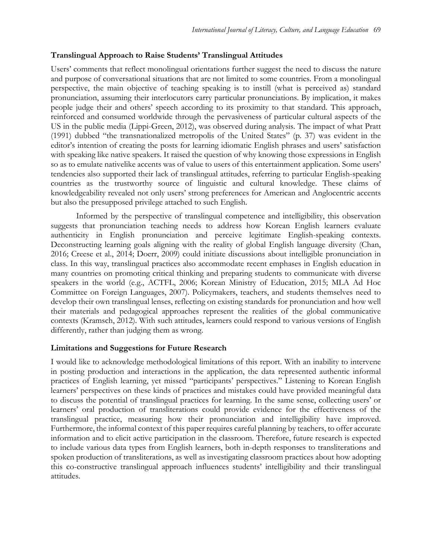### **Translingual Approach to Raise Students' Translingual Attitudes**

Users' comments that reflect monolingual orientations further suggest the need to discuss the nature and purpose of conversational situations that are not limited to some countries. From a monolingual perspective, the main objective of teaching speaking is to instill (what is perceived as) standard pronunciation, assuming their interlocutors carry particular pronunciations. By implication, it makes people judge their and others' speech according to its proximity to that standard. This approach, reinforced and consumed worldwide through the pervasiveness of particular cultural aspects of the US in the public media (Lippi-Green, 2012), was observed during analysis. The impact of what Pratt (1991) dubbed "the transnationalized metropolis of the United States" (p. 37) was evident in the editor's intention of creating the posts for learning idiomatic English phrases and users' satisfaction with speaking like native speakers. It raised the question of why knowing those expressions in English so as to emulate nativelike accents was of value to users of this entertainment application. Some users' tendencies also supported their lack of translingual attitudes, referring to particular English-speaking countries as the trustworthy source of linguistic and cultural knowledge. These claims of knowledgeability revealed not only users' strong preferences for American and Anglocentric accents but also the presupposed privilege attached to such English.

Informed by the perspective of translingual competence and intelligibility, this observation suggests that pronunciation teaching needs to address how Korean English learners evaluate authenticity in English pronunciation and perceive legitimate English-speaking contexts. Deconstructing learning goals aligning with the reality of global English language diversity (Chan, 2016; Creese et al., 2014; Doerr, 2009) could initiate discussions about intelligible pronunciation in class. In this way, translingual practices also accommodate recent emphases in English education in many countries on promoting critical thinking and preparing students to communicate with diverse speakers in the world (e.g., ACTFL, 2006; Korean Ministry of Education, 2015; MLA Ad Hoc Committee on Foreign Languages, 2007). Policymakers, teachers, and students themselves need to develop their own translingual lenses, reflecting on existing standards for pronunciation and how well their materials and pedagogical approaches represent the realities of the global communicative contexts (Kramsch, 2012). With such attitudes, learners could respond to various versions of English differently, rather than judging them as wrong.

### **Limitations and Suggestions for Future Research**

I would like to acknowledge methodological limitations of this report. With an inability to intervene in posting production and interactions in the application, the data represented authentic informal practices of English learning, yet missed "participants' perspectives." Listening to Korean English learners' perspectives on these kinds of practices and mistakes could have provided meaningful data to discuss the potential of translingual practices for learning. In the same sense, collecting users' or learners' oral production of transliterations could provide evidence for the effectiveness of the translingual practice, measuring how their pronunciation and intelligibility have improved. Furthermore, the informal context of this paper requires careful planning by teachers, to offer accurate information and to elicit active participation in the classroom. Therefore, future research is expected to include various data types from English learners, both in-depth responses to transliterations and spoken production of transliterations, as well as investigating classroom practices about how adopting this co-constructive translingual approach influences students' intelligibility and their translingual attitudes.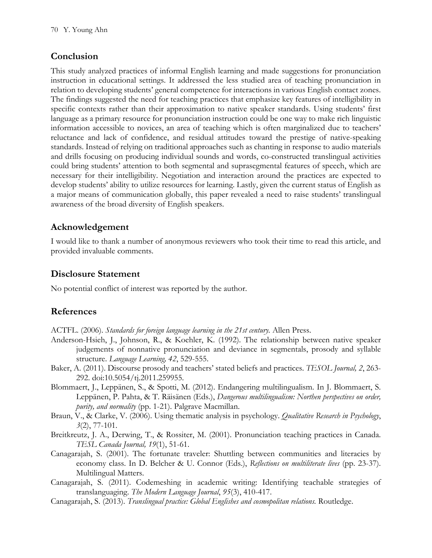# **Conclusion**

This study analyzed practices of informal English learning and made suggestions for pronunciation instruction in educational settings. It addressed the less studied area of teaching pronunciation in relation to developing students' general competence for interactions in various English contact zones. The findings suggested the need for teaching practices that emphasize key features of intelligibility in specific contexts rather than their approximation to native speaker standards. Using students' first language as a primary resource for pronunciation instruction could be one way to make rich linguistic information accessible to novices, an area of teaching which is often marginalized due to teachers' reluctance and lack of confidence, and residual attitudes toward the prestige of native-speaking standards. Instead of relying on traditional approaches such as chanting in response to audio materials and drills focusing on producing individual sounds and words, co-constructed translingual activities could bring students' attention to both segmental and suprasegmental features of speech, which are necessary for their intelligibility. Negotiation and interaction around the practices are expected to develop students' ability to utilize resources for learning. Lastly, given the current status of English as a major means of communication globally, this paper revealed a need to raise students' translingual awareness of the broad diversity of English speakers.

# **Acknowledgement**

I would like to thank a number of anonymous reviewers who took their time to read this article, and provided invaluable comments.

# **Disclosure Statement**

No potential conflict of interest was reported by the author.

# **References**

ACTFL. (2006). *Standards for foreign language learning in the 21st century.* Allen Press.

- Anderson-Hsieh, J., Johnson, R., & Koehler, K. (1992). The relationship between native speaker judgements of nonnative pronunciation and deviance in segmentals, prosody and syllable structure. *Language Learning, 42*, 529-555.
- Baker, A. (2011). Discourse prosody and teachers' stated beliefs and practices. *TESOL Journal, 2*, 263- 292. doi:10.5054/tj.2011.259955.
- Blommaert, J., Leppänen, S., & Spotti, M. (2012). Endangering multilingualism. In J. Blommaert, S. Leppänen, P. Pahta, & T. Räisänen (Eds.), *Dangerous multilingualism: Northen perspectives on order, purity, and normality* (pp. 1-21). Palgrave Macmillan.
- Braun, V., & Clarke, V. (2006). Using thematic analysis in psychology. *Qualitative Research in Psychology*, *3*(2), 77-101.
- Breitkreutz, J. A., Derwing, T., & Rossiter, M. (2001). Pronunciation teaching practices in Canada. *TESL Canada Journal, 19*(1), 51-61.
- Canagarajah, S. (2001). The fortunate traveler: Shuttling between communities and literacies by economy class. In D. Belcher & U. Connor (Eds.), *Reflections on multiliterate lives* (pp. 23-37). Multilingual Matters.
- Canagarajah, S. (2011). Codemeshing in academic writing: Identifying teachable strategies of translanguaging. *The Modern Language Journal*, *95*(3), 410-417.
- Canagarajah, S. (2013). *Translingual practice: Global Englishes and cosmopolitan relations.* Routledge.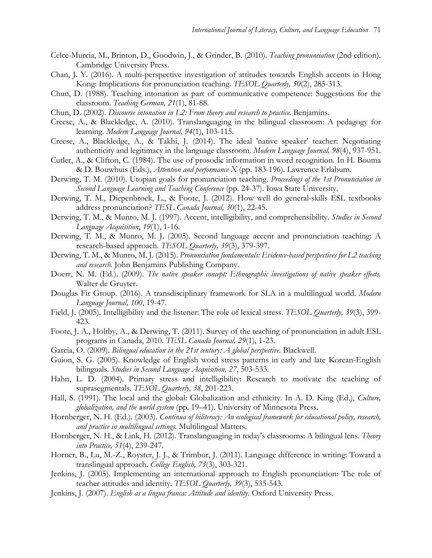- Celce-Murcia, M., Brinton, D., Goodwin, J., & Grinder, B. (2010). *Teaching pronunciation* (2nd edition). Cambridge University Press.
- Chan, J. Y. (2016). A multi-perspective investigation of attitudes towards English accents in Hong Kong: Implications for pronunciation teaching. *TESOL Quarterly, 50*(2), 285-313.
- Chun, D. (1988). Teaching intonation as part of communicative competence: Suggestions for the classroom. *Teaching German, 21*(1), 81-88.
- Chun, D. (2002). *Discourse intonation in L2: From theory and research to practice.* Benjamins.
- Creese, A., & Blackledge, A. (2010). Translanguaging in the bilingual classroom: A pedagogy for learning. *Modern Language Journal, 94*(1), 103-115.
- Creese, A., Blackledge, A., & Takhi, J. (2014). The ideal 'native speaker' teacher: Negotiating authenticity and legitimacy in the language classroom. *Modern Language Journal, 98*(4), 937-951.
- Cutler, A., & Clifton, C. (1984). The use of prosodic information in word recognition. In H. Bouma & D. Bouwhuis (Eds.), *Attention and performance X* (pp. 183-196). Lawrence Erlabum.
- Derwing, T. M. (2010). Utopian goals for pronunciation teaching. *Proceedings of the 1st Pronunciation in Second Language Learning and Teaching Conference* (pp. 24-37). Iowa State University.
- Derwing, T. M., Diepenbroek, L., & Foote, J. (2012). How well do general-skills ESL textbooks address pronunciation? *TESL Canada Journal, 30*(1), 22-45.
- Derwing, T. M., & Munro, M. J. (1997). Accent, intelligibility, and comprehensibility. *Studies in Second Language Acquisition*, *19*(1), 1-16.
- Derwing, T. M., & Munro, M. J. (2005). Second language accent and pronunciation teaching: A research-based approach. *TESOL Quarterly, 39*(3), 379-397.
- Derwing, T. M., & Munro, M. J. (2015). *Pronunciation fundamentals: Evidence-based perspectives for L2 teaching and research.* John Benjamins Publishing Company.
- Doerr, N. M. (Ed.). (2009). *The native speaker concept: Ethnographic investigations of native speaker effects.* Walter de Gruyter.
- Douglas Fir Group. (2016). A transdisciplinary framework for SLA in a multilingual world. *Modern Language Journal, 100*, 19-47.
- Field, J. (2005). Intelligibility and the listener: The role of lexical stress. *TESOL Quarterly, 39*(3), 399- 423.
- Foote, J. A., Holtby, A., & Derwing, T. (2011). Survey of the teaching of pronunciation in adult ESL programs in Canada, 2010. *TESL Canada Journal, 29*(1), 1-23.
- Garcia, O. (2009). *Bilingual education in the 21st century: A global perspective.* Blackwell.
- Guion, S. G. (2005). Knowledge of English word stress patterns in early and late Korean-English bilinguals. *Studies in Second Language Acquisition, 27*, 503-533.
- Hahn, L. D. (2004). Primary stress and intelligibility: Research to motivate the teaching of suprasegmentals. *TESOL Quarterly, 38*, 201-223.
- Hall, S. (1991). The local and the global: Globalization and ethnicity. In A. D. King (Ed.), *Culture, globalization, and the world system* (pp. 19–41). University of Minnesota Press.
- Hornberger, N. H. (Ed.). (2003). *Continua of biliteracy: An ecological framework for educational policy, research, and practice in multilingual settings.* Multilingual Matters.
- Hornberger, N. H., & Link, H. (2012). Translanguaging in today's classrooms: A bilingual lens. *Theory into Practice, 51*(4), 239-247.
- Horner, B., Lu, M.-Z., Royster, J. J., & Trimbur, J. (2011). Language difference in writing: Toward a translingual approach. *College English, 73*(3), 303-321.
- Jenkins, J. (2005). Implementing an international approach to English pronunciation: The role of teacher attitudes and identity. *TESOL Quarterly, 39*(3), 535-543.
- Jenkins, J. (2007). *English as a lingua franca: Attitude and identity.* Oxford University Press.